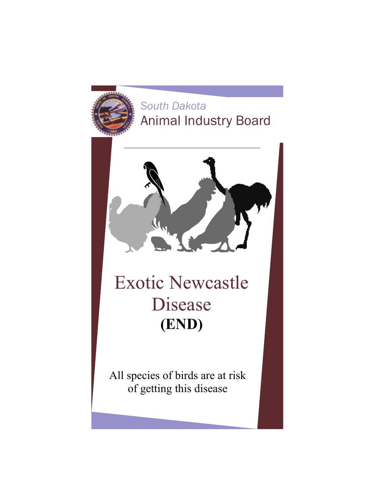## *South Dakota*  Animal Industry Board



# Exotic Newcastle Disease **(END)**

All species of birds are at risk of getting this disease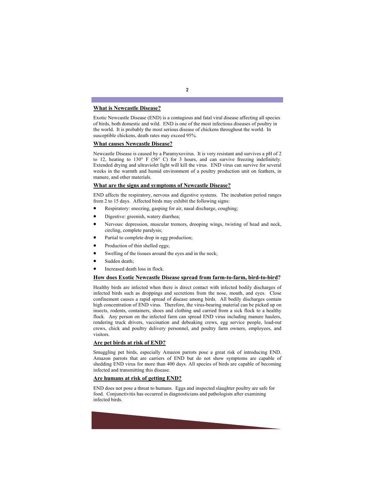#### **What is Newcastle Disease?**

Exotic Newcastle Disease (END) is a contagious and fatal viral disease affecting all species of birds, both domestic and wild. END is one of the most infectious diseases of poultry in the world. It is probably the most serious disease of chickens throughout the world. In susceptible chickens, death rates may exceed 95%.

#### **What causes Newcastle Disease?**

Newcastle Disease is caused by a Paramyxovirus. It is very resistant and survives a pH of 2 to 12, heating to 130° F (56° C) for 3 hours, and can survive freezing indefinitely. Extended drying and ultraviolet light will kill the virus. END virus can survive for several weeks in the warmth and humid environment of a poultry production unit on feathers, in manure, and other materials.

#### **What are the signs and symptoms of Newcastle Disease?**

END affects the respiratory, nervous and digestive systems. The incubation period ranges from 2 to 15 days. Affected birds may exhibit the following signs:

- Respiratory: sneezing, gasping for air, nasal discharge, coughing;
- Digestive: greenish, watery diarrhea;
- Nervous: depression, muscular tremors, drooping wings, twisting of head and neck, circling, complete paralysis;
- Partial to complete drop in egg production;
- Production of thin shelled eggs;
- Swelling of the tissues around the eyes and in the neck;
- Sudden death;
- Increased death loss in flock.

#### **How does Exotic Newcastle Disease spread from farm-to-farm, bird-to-bird?**

Healthy birds are infected when there is direct contact with infected bodily discharges of infected birds such as droppings and secretions from the nose, mouth, and eyes. Close confinement causes a rapid spread of disease among birds. All bodily discharges contain high concentration of END virus. Therefore, the virus-bearing material can be picked up on insects, rodents, containers, shoes and clothing and carried from a sick flock to a healthy flock. Any person on the infected farm can spread END virus including manure haulers, rendering truck drivers, vaccination and debeaking crews, egg service people, load-out crews, chick and poultry delivery personnel, and poultry farm owners, employees, and visitors.

#### **Are pet birds at risk of END?**

Smuggling pet birds, especially Amazon parrots pose a great risk of introducing END. Amazon parrots that are carriers of END but do not show symptoms are capable of shedding END virus for more than 400 days. All species of birds are capable of becoming infected and transmitting this disease.

#### **Are humans at risk of getting END?**

END does not pose a threat to humans. Eggs and inspected slaughter poultry are safe for food. Conjunctivitis has occurred in diagnosticians and pathologists after examining infected birds.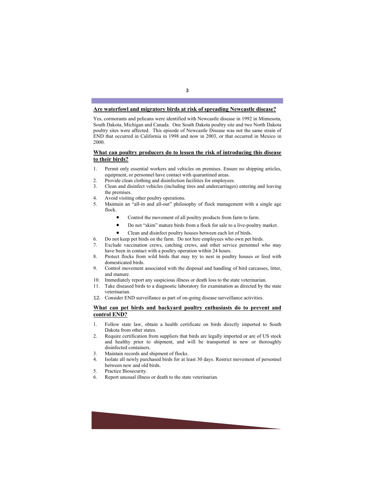#### **Are waterfowl and migratory birds at risk of spreading Newcastle disease?**

Yes, cormorants and pelicans were identified with Newcastle disease in 1992 in Minnesota, South Dakota, Michigan and Canada. One South Dakota poultry site and two North Dakota poultry sites were affected. This episode of Newcastle Disease was not the same strain of END that occurred in California in 1998 and now in 2003, or that occurred in Mexico in 2000.

#### **What can poultry producers do to lessen the risk of introducing this disease to their birds?**

- 1. Permit only essential workers and vehicles on premises. Ensure no shipping articles, equipment, or personnel have contact with quarantined areas.
- 2. Provide clean clothing and disinfection facilities for employees.
- 3. Clean and disinfect vehicles (including tires and undercarriages) entering and leaving the premises.
- 4. Avoid visiting other poultry operations.
- 5. Maintain an "all-in and all-out" philosophy of flock management with a single age flock.
	- Control the movement of all poultry products from farm to farm.
	- Do not "skim" mature birds from a flock for sale to a live-poultry market.
	- Clean and disinfect poultry houses between each lot of birds.
- 6. Do not keep pet birds on the farm. Do not hire employees who own pet birds.
- 7. Exclude vaccination crews, catching crews, and other service personnel who may have been in contact with a poultry operation within 24 hours.
- 8. Protect flocks from wild birds that may try to nest in poultry houses or feed with domesticated birds.
- 9. Control movement associated with the disposal and handling of bird carcasses, litter, and manure.
- 10. Immediately report any suspicious illness or death loss to the state veterinarian.
- 11. Take diseased birds to a diagnostic laboratory for examination as directed by the state veterinarian.
- 12. Consider END surveillance as part of on-going disease surveillance activities.

#### **What can pet birds and backyard poultry enthusiasts do to prevent and control END?**

- 1. Follow state law, obtain a health certificate on birds directly imported to South Dakota from other states.
- 2. Require certification from suppliers that birds are legally imported or are of US stock and healthy prior to shipment, and will be transported in new or thoroughly disinfected containers.
- 3. Maintain records and shipment of flocks.
- 4. Isolate all newly purchased birds for at least 30 days. Restrict movement of personnel between new and old birds.
- 5. Practice Biosecurity.
- 6. Report unusual illness or death to the state veterinarian.